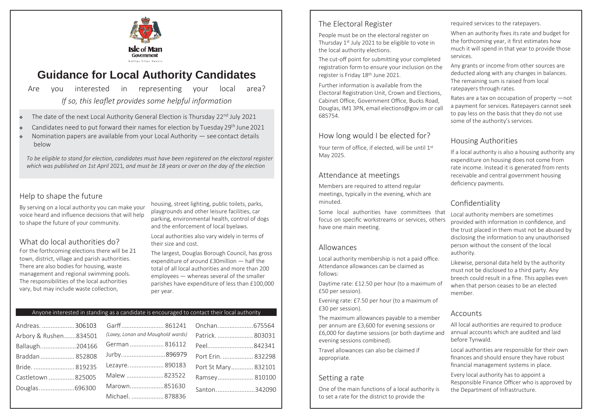

# **Guidance for Local Authority Candidates**

Are you interested in representing your local area? *If so, this leaflet provides some helpful information*

- $\bullet$  The date of the next Local Authority General Election is Thursday 22<sup>nd</sup> July 2021
- Candidates need to put forward their names for election by Tuesday 29<sup>th</sup> June 2021
- Nomination papers are available from your Local Authority see contact details below

*To be eligible to stand for election, candidates must have been registered on the electoral register which was published on 1st April* 2021*, and must be 18 years or over on the day of the election*

## Help to shape the future

By serving on a local authority you can make your voice heard and influence decisions that will help to shape the future of your community.

#### What do local authorities do?

For the forthcoming elections there will be 21 town, district, village and parish authorities. There are also bodies for housing, waste management and regional swimming pools. The responsibilities of the local authorities vary, but may include waste collection,

housing, street lighting, public toilets, parks, playgrounds and other leisure facilities, car parking, environmental health, control of dogs and the enforcement of local byelaws.

Local authorities also vary widely in terms of their size and cost.

The largest, Douglas Borough Council, has gross expenditure of around £30million — half the total of all local authorities and more than 200 employees — whereas several of the smaller parishes have expenditure of less than £100,000 per year.

# Anyone interested in standing as a candidate is encouraged to contact their local authority **EXU PESO per session**).

| Andreas.  306103      |                                   | Onchan675564        |  |
|-----------------------|-----------------------------------|---------------------|--|
| Arbory & Rushen834501 | (Laxey, Lonan and Maughold wards) | Patrick.  803031    |  |
| Ballaugh204166        | German  816112                    | Peel842341          |  |
| Braddan  852808       | Jurby896979                       | Port Erin.  832298  |  |
| Bride.  819235        | Lezayre 890183                    | Port St Mary 832101 |  |
| Castletown  825005    | Malew 823522                      | Ramsey 810100       |  |
| Douglas696300         | Marown851630                      | Santon342090        |  |
|                       | Michael.  878836                  |                     |  |

# The Electoral Register

People must be on the electoral register on Thursday 1<sup>st</sup> July 2021 to be eligible to vote in the local authority elections.

The cut-off point for submitting your completed registration form to ensure your inclusion on the register is Friday 18th June 2021.

Further information is available from the Electoral Registration Unit, Crown and Elections, Cabinet Office, Government Office, Bucks Road, Douglas, IM1 3PN, email [elections@gov.im](mailto:elections@gov.im) or call 685754.

# How long would I be elected for?

Your term of office, if elected, will be until 1<sup>st</sup> May 2025.

# Attendance at meetings

Members are required to attend regular meetings, typically in the evening, which are minuted.

Some local authorities have committees that focus on specific workstreams or services, others have one main meeting.

#### Allowances

Local authority membership is not a paid office. Attendance allowances can be claimed as follows:

Daytime rate: £12.50 per hour (to a maximum of £50 per session).

Evening rate: £7.50 per hour (to a maximum of

The maximum allowances payable to a member Accounts per annum are £3,600 for evening sessions or £6,000 for daytime sessions (or both daytime and evening sessions combined).

Travel allowances can also be claimed if appropriate.

#### Setting a rate

One of the main functions of a local authority is to set a rate for the district to provide the

required services to the ratepayers.

When an authority fixes its rate and budget for the forthcoming year, it first estimates how much it will spend in that year to provide those services.

Any grants or income from other sources are deducted along with any changes in balances. The remaining sum is raised from local ratepayers through rates.

Rates are a tax on occupation of property —not a payment for services. Ratepayers cannot seek to pay less on the basis that they do not use some of the authority's services.

# Housing Authorities

If a local authority is also a housing authority any expenditure on housing does not come from rate income. Instead it is generated from rents receivable and central government housing deficiency payments.

# Confidentiality

Local authority members are sometimes provided with information in confidence, and the trust placed in them must not be abused by disclosing the information to any unauthorised person without the consent of the local authority.

Likewise, personal data held by the authority must not be disclosed to a third party. Any breech could result in a fine. This applies even when that person ceases to be an elected member.

All local authorities are required to produce annual accounts which are audited and laid before Tynwald.

Local authorities are responsible for their own finances and should ensure they have robust financial management systems in place.

Every local authority has to appoint a Responsible Finance Officer who is approved by the Department of Infrastructure.